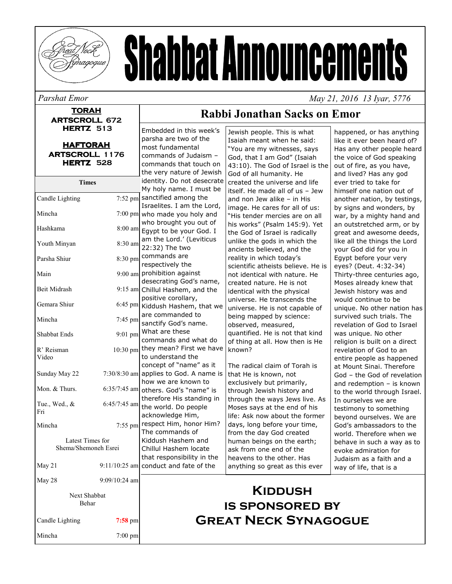

# **Shabbat Announcements**

Parshat Emor

#### **TORAH ARTSCROLL 672 HERTZ 513**

| <b>HAFTORAH</b>       |  |  |  |  |
|-----------------------|--|--|--|--|
| <b>ARTSCROLL 1176</b> |  |  |  |  |
| HERTZ 528             |  |  |  |  |

|                      |                | the very nature of Jewish               |
|----------------------|----------------|-----------------------------------------|
| <b>Times</b>         |                | identity. Do not desecrate              |
|                      |                | My holy name. I must be                 |
| Candle Lighting      | 7:52 pm        | sanctified among the                    |
|                      |                | Israelites. I am the Lord,              |
| Mincha               | $7:00$ pm      | who made you holy and                   |
|                      |                | who brought you out of                  |
| Hashkama             | 8:00 am        | Egypt to be your God. I                 |
| Youth Minyan         | 8:30 am        | am the Lord.' (Leviticus                |
|                      |                | 22:32) The two                          |
| Parsha Shiur         | 8:30 pm        | commands are                            |
|                      |                | respectively the                        |
| Main                 | $9:00$ am      | prohibition against                     |
|                      |                | desecrating God's name,                 |
| <b>Beit Midrash</b>  |                | 9:15 am Chillul Hashem, and the         |
| Gemara Shiur         | $6:45$ pm      | positive corollary,                     |
|                      |                | Kiddush Hashem, that we                 |
| Mincha               | 7:45 pm        | are commanded to                        |
| Shabbat Ends         |                | sanctify God's name.<br>What are these  |
|                      | $9:01$ pm      | commands and what do                    |
|                      |                | they mean? First we have                |
| R' Reisman<br>Video  | $10:30$ pm     | to understand the                       |
|                      |                | concept of "name" as it                 |
| Sunday May 22        | $7:30/8:30$ am | applies to God. A name is               |
|                      |                | how we are known to                     |
| Mon. & Thurs.        | $6:35/7:45$ am | others. God's "name" is                 |
|                      |                | therefore His standing in               |
| Tue., Wed., &        | 6:45/7:45 am   | the world. Do people                    |
| Fri                  |                | acknowledge Him,                        |
| Mincha               | $7:55$ pm      | respect Him, honor Him?                 |
|                      |                | The commands of                         |
| Latest Times for     |                | Kiddush Hashem and                      |
| Shema/Shemoneh Esrei |                | Chillul Hashem locate                   |
|                      |                | that responsibility in the              |
| May 21               |                | $9:11/10:25$ am conduct and fate of the |
| May 28               | 9:09/10:24 am  |                                         |

Next Shabbat Behar

 $7:00$  pm

Candle Lighting  $7:58$  pm

Mincha

Embedded in this week's

parsha are two of the

commands of Judaism -

commands that touch on

most fundamental

Rabbi Jonathan Sacks on Emor

Jewish people. This is what Isaiah meant when he said: "You are my witnesses, says God, that I am God" (Isaiah 43:10). The God of Israel is the God of all humanity. He created the universe and life itself. He made all of us - Jew and non Jew alike - in His image. He cares for all of us: "His tender mercies are on all his works" (Psalm 145:9). Yet the God of Israel is radically unlike the gods in which the ancients believed, and the reality in which today's scientific atheists believe. He is not identical with nature. He created nature. He is not identical with the physical universe. He transcends the universe. He is not capable of being mapped by science: observed, measured, quantified. He is not that kind of thing at all. How then is He known?

The radical claim of Torah is that He is known, not exclusively but primarily, through Jewish history and through the ways Jews live. As Moses says at the end of his life: Ask now about the former days, long before your time, from the day God created human beings on the earth; ask from one end of the heavens to the other. Has anything so great as this ever

happened, or has anything like it ever been heard of? Has any other people heard the voice of God speaking out of fire, as you have, and lived? Has any god ever tried to take for himself one nation out of another nation, by testings, by signs and wonders, by war, by a mighty hand and an outstretched arm, or by great and awesome deeds, like all the things the Lord vour God did for you in Egypt before your very eyes? (Deut. 4:32-34) Thirty-three centuries ago, Moses already knew that Jewish history was and would continue to be unique. No other nation has survived such trials. The revelation of God to Israel was unique. No other religion is built on a direct revelation of God to an entire people as happened at Mount Sinai. Therefore God - the God of revelation and redemption - is known to the world through Israel. In ourselves we are testimony to something bevond ourselves. We are God's ambassadors to the world. Therefore when we behave in such a way as to evoke admiration for Judaism as a faith and a way of life, that is a

May 21, 2016 13 Ivar, 5776

### **KIDDUSH IS SPONSORED BY GREAT NECK SYNAGOGUE**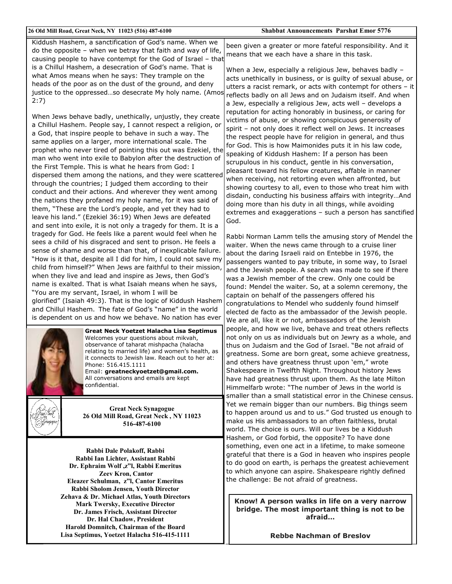#### 26 Old Mill Road, Great Neck, NY 11023 (516) 487-6100

Kiddush Hashem, a sanctification of God's name. When we do the opposite - when we betray that faith and way of life, causing people to have contempt for the God of Israel - that is a Chillul Hashem, a desecration of God's name. That is what Amos means when he says: They trample on the heads of the poor as on the dust of the ground, and deny justice to the oppressed...so desecrate My holy name. (Amos  $2:7$ 

When Jews behave badly, unethically, unjustly, they create a Chillul Hashem. People say, I cannot respect a religion, or a God, that inspire people to behave in such a way. The same applies on a larger, more international scale. The prophet who never tired of pointing this out was Ezekiel, the man who went into exile to Babylon after the destruction of the First Temple. This is what he hears from God: I dispersed them among the nations, and they were scattered through the countries; I judged them according to their conduct and their actions. And wherever they went among the nations they profaned my holy name, for it was said of them, "These are the Lord's people, and yet they had to leave his land." (Ezekiel 36:19) When Jews are defeated and sent into exile, it is not only a tragedy for them. It is a tragedy for God. He feels like a parent would feel when he sees a child of his disgraced and sent to prison. He feels a sense of shame and worse than that, of inexplicable failure. "How is it that, despite all I did for him, I could not save my child from himself?" When Jews are faithful to their mission, when they live and lead and inspire as Jews, then God's name is exalted. That is what Isaiah means when he says, "You are my servant, Israel, in whom I will be

glorified" (Isaiah 49:3). That is the logic of Kiddush Hashem and Chillul Hashem. The fate of God's "name" in the world is dependent on us and how we behave. No nation has ever



**Great Neck Yoetzet Halacha Lisa Septimus** Welcomes your questions about mikvah, observance of taharat mishpacha (halacha relating to married life) and women's health, as it connects to Jewish law. Reach out to her at: Phone: 516.415.1111 Email: greatneckyoetzet@gmail.com.

All conversations and emails are kept confidential.

**Great Neck Synagogue** 26 Old Mill Road, Great Neck, NY 11023 516-487-6100

Rabbi Dale Polakoff, Rabbi Rabbi Ian Lichter, Assistant Rabbi Dr. Ephraim Wolf, z"l, Rabbi Emeritus **Zeev Kron, Cantor** Eleazer Schulman, z"l. Cantor Emeritus Rabbi Sholom Jensen, Youth Director Zehava & Dr. Michael Atlas, Youth Directors **Mark Twersky, Executive Director** Dr. James Frisch, Assistant Director Dr. Hal Chadow, President Harold Domnitch, Chairman of the Board Lisa Septimus, Yoetzet Halacha 516-415-1111 been given a greater or more fateful responsibility. And it means that we each have a share in this task.

When a Jew, especially a religious Jew, behaves badly acts unethically in business, or is quilty of sexual abuse, or utters a racist remark, or acts with contempt for others - it reflects badly on all Jews and on Judaism itself. And when a Jew, especially a religious Jew, acts well - develops a reputation for acting honorably in business, or caring for victims of abuse, or showing conspicuous generosity of spirit - not only does it reflect well on Jews. It increases the respect people have for religion in general, and thus for God. This is how Maimonides puts it in his law code, speaking of Kiddush Hashem: If a person has been scrupulous in his conduct, gentle in his conversation, pleasant toward his fellow creatures, affable in manner when receiving, not retorting even when affronted, but showing courtesy to all, even to those who treat him with disdain, conducting his business affairs with integrity...And doing more than his duty in all things, while avoiding extremes and exaggerations - such a person has sanctified God.

Rabbi Norman Lamm tells the amusing story of Mendel the waiter. When the news came through to a cruise liner about the daring Israeli raid on Entebbe in 1976, the passengers wanted to pay tribute, in some way, to Israel and the Jewish people. A search was made to see if there was a Jewish member of the crew. Only one could be found: Mendel the waiter. So, at a solemn ceremony, the captain on behalf of the passengers offered his congratulations to Mendel who suddenly found himself elected de facto as the ambassador of the Jewish people. We are all, like it or not, ambassadors of the Jewish people, and how we live, behave and treat others reflects not only on us as individuals but on Jewry as a whole, and thus on Judaism and the God of Israel. "Be not afraid of greatness. Some are born great, some achieve greatness, and others have greatness thrust upon 'em," wrote Shakespeare in Twelfth Night. Throughout history Jews have had greatness thrust upon them. As the late Milton Himmelfarb wrote: "The number of Jews in the world is smaller than a small statistical error in the Chinese census. Yet we remain bigger than our numbers. Big things seem to happen around us and to us." God trusted us enough to make us His ambassadors to an often faithless, brutal world. The choice is ours. Will our lives be a Kiddush Hashem, or God forbid, the opposite? To have done something, even one act in a lifetime, to make someone grateful that there is a God in heaven who inspires people to do good on earth, is perhaps the greatest achievement to which anyone can aspire. Shakespeare rightly defined the challenge: Be not afraid of greatness.

Know! A person walks in life on a very narrow bridge. The most important thing is not to be afraid...

**Rebbe Nachman of Breslov**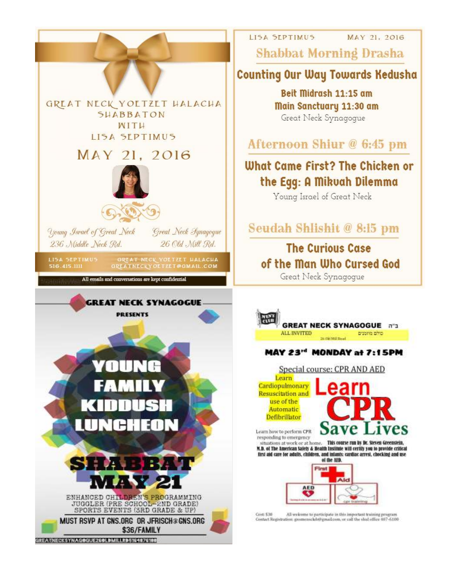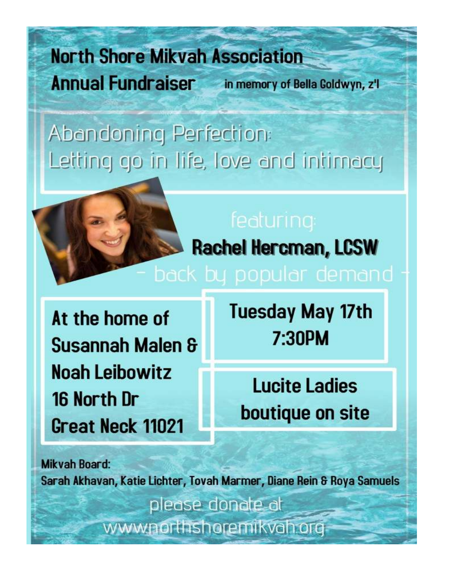# **North Shore Mikvah Association Annual Fundraiser** in memory of Bella Goldwyn, z'l

# Abandoning Perfection: Letting go in life, love and intimacy



**Rachel Hercman, LCSW** 

At the home of Susannah Malen & **Noah Leibowitz** 16 North Dr Great Neck 11021

**Tuesday May 17th** 7:30PM

**Lucite Ladies** boutique on site

**Mikvah Board:** Sarah Akhavan, Katie Lichter, Tovah Marmer, Diane Rein & Roya Samuels please donate at www.northshoremikvah.org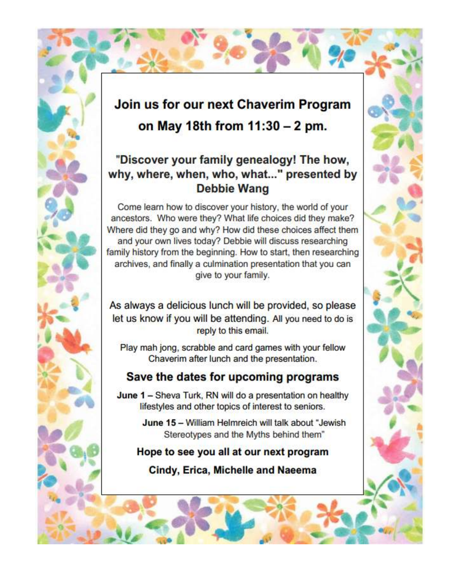## Join us for our next Chaverim Program on May 18th from 11:30 - 2 pm.

#### "Discover your family genealogy! The how, why, where, when, who, what..." presented by **Debbie Wang**

Come learn how to discover your history, the world of your ancestors. Who were they? What life choices did they make? Where did they go and why? How did these choices affect them and your own lives today? Debbie will discuss researching family history from the beginning. How to start, then researching archives, and finally a culmination presentation that you can give to your family.

As always a delicious lunch will be provided, so please let us know if you will be attending. All you need to do is reply to this email.

Play mah jong, scrabble and card games with your fellow Chaverim after lunch and the presentation.

#### Save the dates for upcoming programs

June 1 - Sheva Turk, RN will do a presentation on healthy lifestyles and other topics of interest to seniors.

> June 15 - William Helmreich will talk about "Jewish Stereotypes and the Myths behind them"

#### Hope to see you all at our next program

Cindy, Erica, Michelle and Naeema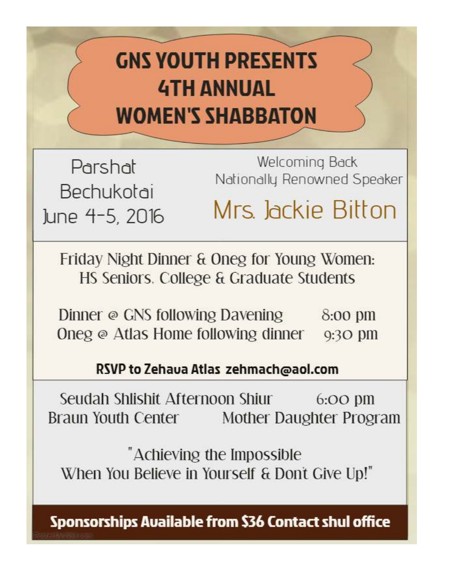# **GNS YOUTH PRESENTS 4TH ANNUAL WOMEN'S SHABBATON**

Parshat Bechukotai June 4-5, 2016

Welcoming Back Nationally Renowned Speaker

Mrs. Jackie Bitton

Friday Night Dinner & Oneg for Young Women: HS Seniors. College & Graduate Students

Dinner @ GNS following Davening 8:00 pm Oneg  $\odot$  Atlas Home following dinner  $\odot$ :30 pm

RSVP to Zehava Atlas zehmach@aol.com

Seudah Shlishit Afternoon Shiur  $6:OO$   $\uprho$ m Braun Youth Center Mother Daughter Program

"Achieving the Impossible When You Believe in Yourself & Don't Give Up!"

**Sponsorships Available from \$36 Contact shul office**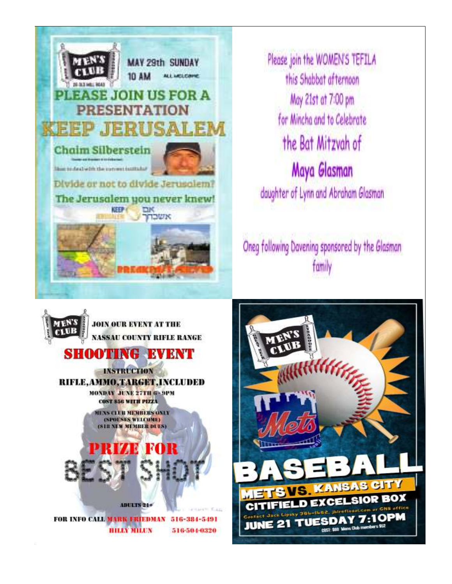

Please join the WOMEN'S TEFILA this Shabbat afternoon May 21st at 7:00 pm for Mincha and to Celebrate the Bat Mitzvah of Maya Glasman daughter of Lynn and Abraham Glasman

Oneg following Davening sponsored by the Glasman family